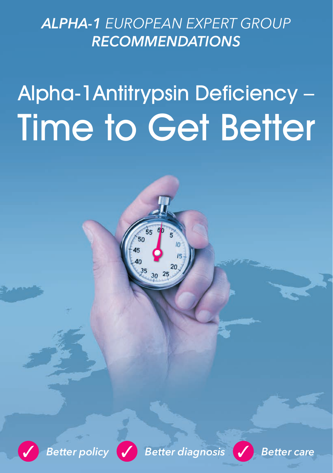# *ALPHA-1 EUROPEAN EXPERT GROUP RECOMMENDATIONS*

# Alpha-1Antitrypsin Deficiency – Time to Get Better





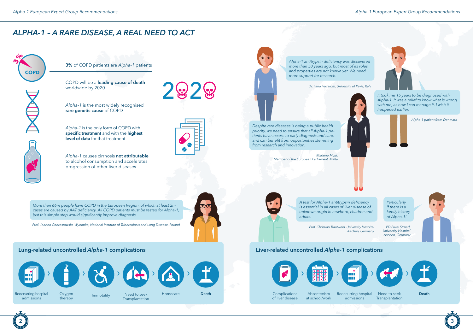# *ALPHA-1 – A RARE DISEASE, A REAL NEED TO ACT*



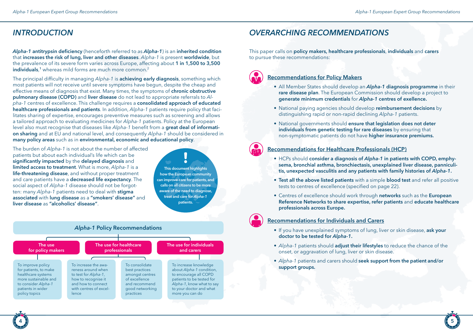# *INTRODUCTION*

*Alpha-1* **antitrypsin deficiency** (henceforth referred to as *Alpha-1*) is an **inherited condition** that **increases the risk of lung, liver and other diseases**. *Alpha-1* is present **worldwide**, but the prevalence of its severe form varies across Europe, affecting about **1 in 1,500 to 3,500 individuals**, **<sup>1</sup>** whereas mild forms are much more common.2

The principal difficulty in managing *Alpha-1* is **achieving early diagnosis**, something which most patients will not receive until severe symptoms have begun, despite the cheap and effective means of diagnosis that exist. Many times, the symptoms of **chronic obstructive pulmonary disease (COPD)** and **liver disease** do not lead to appropriate referrals to *Alpha-1* centres of excellence. This challenge requires a **consolidated approach of educated healthcare professionals and patients**. In addition, *Alpha-1* patients require policy that facilitates sharing of expertise, encourages preventive measures such as screening and allows a tailored approach to evaluating medicines for *Alpha-1* patients. Policy at the European level also must recognise that diseases like *Alpha-1* benefit from a **great deal of information sharing** and at EU and national level, and consequently *Alpha-1* should be considered in **many policy areas** such as in **environmental, economic and educational policy**.

The burden of *Alpha-1* is not about the number of affected patients but about each individual's life which can be **significantly impacted** by the **delayed diagnosis** and **limited access to treatment**. What is more, *Alpha-1* is a **life-threatening disease**, and without proper treatment and care patients have a **decreased life expectancy**. The social aspect of *Alpha-1* disease should not be forgotten: many *Alpha-1* patients need to deal with **stigma associated** with **lung disease** as a **"smokers' disease"** and **liver disease** as **"alcoholics' disease"**.

**This document highlights how the European community can improve care for patients, and calls on all citizens to be more aware of the need to diagnose, treat and care for** *Alpha-1* **patients.**



# *OVERARCHING RECOMMENDATIONS*

This paper calls on **policy makers, healthcare professionals**, **individuals** and **carers** to pursue these recommendations:



### **Recommendations for Policy Makers**

- All Member States should develop an *Alpha-1* **diagnosis programme** in their **rare disease plan**. The European Commission should develop a project to **generate minimum credentials** for *Alpha-1* **centres of exellence.**
- National paying agencies should develop **reimbursement decisions** by distinguishing rapid or non-rapid declining *Alpha-1* patients.
- National governments should **ensure that legislation does not deter individuals from genetic testing for rare diseases** by ensuring that non-symptomatic patients do not have **higher insurance premiums.**

#### **Recommendations for Healthcare Professionals (HCP)**

- HCPs should **consider a diagnosis of** *Alpha-1* **in patients with COPD, emphysema, bronchial asthma, bronchiectasis, unexplained liver disease, panniculitis, unexpected vasculitis and any patients with family histories of** *Alpha-1***.**
- **• Test all the above listed patients** with a simple **blood test** and refer all positive tests to centres of excellence (specified on page 22).
- Centres of excellence should work through **networks** such as the **European Reference Networks to share expertise, refer patients** and **educate healthcare professionals across Europe.**

**4 5**

#### **Recommendations for Individuals and Carers**

- If you have unexplained symptoms of lung, liver or skin disease, **ask your doctor to be tested for** *Alpha-1***.**
- *• Alpha-1* patients should **adjust their lifestyles** to reduce the chance of the onset, or aggravation of lung, liver or skin disease.
- *• Alpha-1* patients and carers should **seek support from the patient and/or support groups.**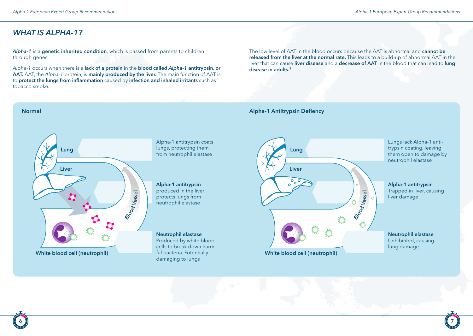*WHAT IS ALPHA-1?*

*Alpha-1* is a **genetic inherited condition**, which is passed from parents to children through genes.

*Alpha-1* occurs when there is a **lack of a protein** in the **blood called** *Alpha-1* **antitrypsin, or AAT.** AAT, the *Alpha-1* protein, is **mainly produced by the liver.** The main function of AAT is to **protect the lungs from inflammation** caused by **infection and inhaled irritants** such as tobacco smoke.

The low level of AAT in the blood occurs because the AAT is abnormal and **cannot be released from the liver at the normal rate.** This leads to a build-up of abnormal AAT in the liver that can cause **liver disease** and a **decrease of AAT** in the blood that can lead to **lung disease in adults.3**

**Blood Vessel**

#### **Normal Alpha-1 Antitrypsin Defiency**

**Lung**

**Liver**

 $\sim$  $\Omega$ 

**White blood cell (neutrophil)**



**Alpha-1 antitrypsin** produced in the liver protects lungs from neutrophil elastase

**Neutrophil elastase** Produced by white blood cells to break down harmful bacteria. Potentially damaging to lungs



Lungs lack Alpha-1 antitrypsin coating, leaving them open to damage by neutrophil elastase

**Neutrophil elastase** Unhibitited, causing lung damage

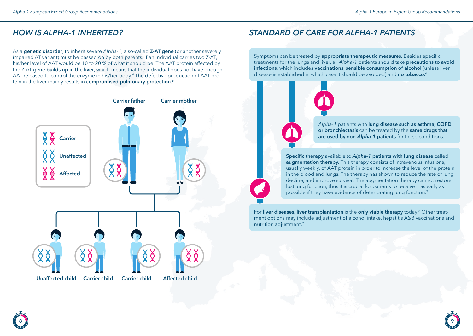As a **genetic disorder**, to inherit severe *Alpha-1*, a so-called **Z-AT gene** (or another severely impaired AT variant) must be passed on by both parents. If an individual carries two Z-AT, his/her level of AAT would be 10 to 20 % of what it should be. The AAT protein affected by the Z-AT gene **builds up in the liver**, which means that the individual does not have enough AAT released to control the enzyme in his/her body.4 The defective production of AAT protein in the liver mainly results in **compromised pulmonary protection**. **5**



# *HOW IS ALPHA-1 INHERITED? STANDARD OF CARE FOR ALPHA-1 PATIENTS*

Symptoms can be treated by **appropriate therapeutic measures.** Besides specific treatments for the lungs and liver, all *Alpha-1* patients should take **precautions to avoid infections**, which includes **vaccinations, sensible consumption of alcohol** (unless liver disease is established in which case it should be avoided) and **no tobacco.6**



*Alpha-1* patients with **lung disease such as asthma, COPD or bronchiectasis** can be treated by the **same drugs that are used by non-***Alpha-1* **patients** for these conditions.

**Specific therapy** available to *Alpha-1* **patients with lung disease** called **augmentation therapy.** This therapy consists of intravenous infusions, usually weekly, of AAT protein in order to increase the level of the protein in the blood and lungs. The therapy has shown to reduce the rate of lung decline, and improve survival. The augmentation therapy cannot restore lost lung function, thus it is crucial for patients to receive it as early as possible if they have evidence of deteriorating lung function.7

For **liver diseases, liver transplantation** is the **only viable therapy** today.8 Other treatment options may include adjustment of alcohol intake, hepatitis A&B vaccinations and nutrition adjustment.<sup>9</sup>

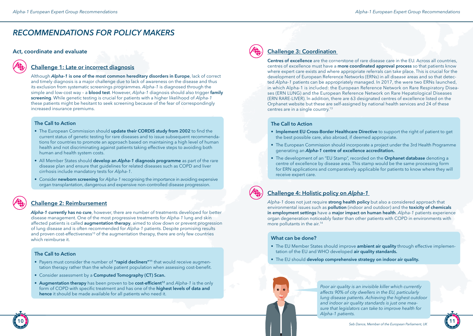# *RECOMMENDATIONS FOR POLICY MAKERS*

#### **Act, coordinate and evaluate**

#### **Challenge 1: Late or incorrect diagnosis**

Although *Alpha-1* **is one of the most common hereditary disorders in Europe**, lack of correct and timely diagnosis is a major challenge due to lack of awareness on the disease and thus its exclusion from systematic screenings programmes. *Alpha-1* is diagnosed through the simple and low-cost way – a **blood test**. However, *Alpha-1* diagnosis should also trigger **family screening**. While genetic testing is crucial for patients with a higher likelihood of *Alpha-1* these patients might be hesitant to seek screening because of the fear of correspondingly increased insurance premiums.

#### **The Call to Action**

- The European Commission should **update their CORDIS study from 2002** to find the current status of genetic testing for rare diseases and to issue subsequent recommendations for countries to promote an approach based on maintaining a high level of human health and not discriminating against patients taking effective steps to avoiding both human and health system costs.
- All Member States should **develop an** *Alpha-1* **diagnosis programme** as part of the rare disease plan and ensure that guidelines for related diseases such as COPD and liver cirrhosis include mandatory tests for *Alpha-1*.
- Consider **newborn screening** for *Alpha-1* recognising the importance in avoiding expensive organ transplantation, dangerous and expensive non-controlled disease progression.

#### **Challenge 2: Reimbursement**

*Alpha-1* **currently has no cure**, however, there are number of treatments developed for better disease management. One of the most progressive treatments for *Alpha-1* lung and skin affected patients is called **augmentation therapy**, aimed to slow down or prevent progression of lung disease and is often recommended for *Alpha-1* patients. Despite promising results and proven cost-effectiveness<sup>10</sup> of the augmentation therapy, there are only few countries which reimburse it.

#### **The Call to Action**

- Payers must consider the number of **"rapid decliners"11** that would receive augmentation therapy rather than the whole patient population when assessing cost-benefit.
- Consider assessment by a **Computed Tomography (CT) Scan.**
- **• Augmentation therapy** has been proven to be **cost-efficient<sup>12</sup>** and *Alpha-1* is the only form of COPD with specific treatment and has one of the **highest levels of data and hence** it should be made available for all patients who need it.

#### **Challenge 3: Coordination**

**Centres of excellence** are the cornerstone of rare disease care in the EU. Across all countries, centres of excellence must have a **more coordinated approval process** so that patients know where expert care exists and where appropriate referrals can take place. This is crucial for the development of European Reference Networks (ERNs) in all disease areas and so that detected *Alpha-1* patients can be appropriately managed. In 2017, the were two ERNs launched, in which Alpha-1 is included: the European Reference Network on Rare Respiratory Diseases (ERN LUNG) and the European Reference Network on Rare Hepatological Diseases (ERN RARE-LIVER). In addition, there are 63 designated centres of excellence listed on the Orphanet website but these are self-assigned by national health services and 24 of these centres are in a single country.<sup>13</sup>

#### **The Call to Action**

- **• Implement EU Cross-Border Healthcare Directive** to support the right of patient to get the best possible care, also abroad, if deemed appropriate.
- The European Commission should incorporate a project under the 3rd Health Programme generating an *Alpha-1* **centre of excellence accreditation.**
- The development of an "EU Stamp", recorded on the **Orphanet database** denoting a centre of excellence by disease area. This stamp would be the same processing form for ERN applications and comparatively applicable for patients to know where they will receive expert care.

## **Challenge 4: Holistic policy on** *Alpha-1*

*Alpha-1* does not just require **strong health policy** but also a considered approach that environmental issues such as **pollution** (indoor and outdoor) and the **toxicity of chemicals in employment settings** have a **major impact on human health**. *Alpha-1* patients experience organ degeneration noticeably faster than other patients with COPD in environments with more pollutants in the air.<sup>14</sup>

#### **What can be done?**

- The EU Member States should improve **ambient air quality** through effective implementation of the EU and WHO developed **air quality standards.**
- The EU should **develop comprehensive strategy on indoor air quality.**

*Poor air quality is an invisible killer which currently affects 90% of city dwellers in the EU, particularly lung disease patients. Achieving the highest outdoor and indoor air quality standards is just one measure that legislators can take to improve health for Alpha-1 patients.*

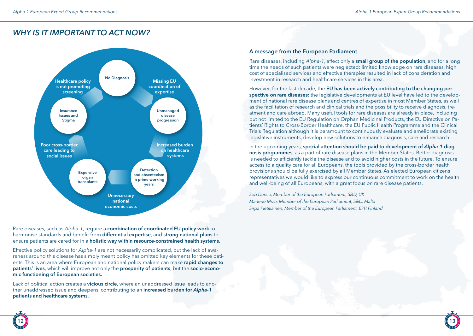# *WHY IS IT IMPORTANT TO ACT NOW?*



Rare diseases, such as *Alpha-1*, require a **combination of coordinated EU policy work** to harmonise standards and benefit from **differential expertise**, and **strong national plans** to ensure patients are cared for in a **holistic way within resource-constrained health systems.**

Effective policy solutions for *Alpha-1* are not necessarily complicated, but the lack of awareness around this disease has simply meant policy has omitted key elements for these patients. This is an area where European and national policy makers can make **rapid changes to patients' lives**, which will improve not only the **prosperity of patients**, but the **socio-economic functioning of European societies.**

Lack of political action creates a **vicious circle**, where an unaddressed issue leads to another unaddressed issue and deepens, contributing to an **increased burden for** *Alpha-1* **patients and healthcare systems.** 

#### **A message from the European Parliament**

Rare diseases, including *Alpha-1*, affect only a **small group of the population**, and for a long time the needs of such patients were neglected: limited knowledge on rare diseases, high cost of specialised services and effective therapies resulted in lack of consideration and investment in research and healthcare services in this area.

However, for the last decade, the **EU has been actively contributing to the changing perspective on rare diseases:** the legislative developments at EU level have led to the development of national rare disease plans and centres of expertise in most Member States, as well as the facilitation of research and clinical trials and the possibility to receive diagnosis, treatment and care abroad. Many useful tools for rare diseases are already in place, including but not limited to the EU Regulation on Orphan Medicinal Products, the EU Directive on Patients' Rights to Cross-Border Healthcare, the EU Public Health Programme and the Clinical Trials Regulation although it is paramount to continuously evaluate and ameliorate existing legislative instruments, develop new solutions to enhance diagnosis, care and research.

In the upcoming years, **special attention should be paid to development of** *Alpha-1* **diagnosis programmes**, as a part of rare disease plans in the Member States. Better diagnosis is needed to efficiently tackle the disease and to avoid higher costs in the future. To ensure access to a quality care for all Europeans, the tools provided by the cross-border health provisions should be fully exercised by all Member States. As elected European citizens representatives we would like to express our continuous commitment to work on the health and well-being of all Europeans, with a great focus on rare disease patients.

*Seb Dance, Member of the European Parliament, S&D, UK Marlene Mizzi, Member of the European Parliament, S&D, Malta Sirpa Pietikäinen, Member of the European Parliament, EPP, Finland*

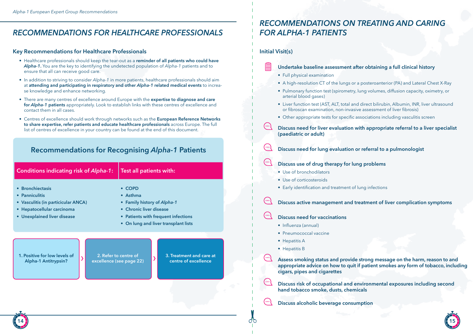# *RECOMMENDATIONS FOR HEALTHCARE PROFESSIONALS FOR ALPHA-1 PATIENTS*

#### **Key Recommendations for Healthcare Professionals**

- Healthcare professionals should keep the tear-out as a **reminder of all patients who could have**  *Alpha-1***.** You are the key to identifying the undetected population of *Alpha-1* patients and to ensure that all can receive good care.
- In addition to striving to consider *Alpha-1* in more patients, healthcare professionals should aim at **attending and participating in respiratory and other** *Alpha-1* **related medical events** to increase knowledge and enhance networking.
- There are many centres of excellence around Europe with the **expertise to diagnose and care for** *Alpha-1* **patients** appropriately. Look to establish links with these centres of excellence and contact them in all cases.
- Centres of excellence should work through networks such as the **European Reference Networks to share expertise, refer patients and educate healthcare professionals** across Europe. The full list of centres of excellence in your country can be found at the end of this document.

## **Recommendations for Recognising** *Alpha-1* **Patients**

| <b>Conditions indicating risk of Alpha-1:</b>                                                                                          | Test all patients with:                                                                                                                                         |
|----------------------------------------------------------------------------------------------------------------------------------------|-----------------------------------------------------------------------------------------------------------------------------------------------------------------|
| • Bronchiectasis<br>• Panniculitis<br>• Vasculitis (in particicular ANCA)<br>• Hepatocellular carcinoma<br>• Unexplained liver disease | $\cdot$ COPD<br>Asthma<br>• Family history of Alpha-1<br>• Chronic liver disease<br>• Patients with frequent infections<br>• On lung and liver transplant lists |
| 1. Positive for low levels of<br>2. Refer to centre of<br>Alpha-1 Antitrypsin?<br>excellence (see page 22)                             | 3. Treatment and care at<br>centre of excellence                                                                                                                |

# *RECOMMENDATIONS ON TREATING AND CARING*

#### **Initial Visit(s)**

#### **Undertake baseline assessment after obtaining a full clinical history**

- Full physical examination
- A high-resolution CT of the lungs or a posteroanterior (PA) and Lateral Chest X-Ray
- Pulmonary function test (spirometry, lung volumes, diffusion capacity, oximetry, or arterial blood gases)
- Liver function test (AST, ALT, total and direct bilirubin, Albumin, INR, liver ultrasound or fibroscan examination, non-invasive assessment of liver fibrosis)
- Other appropriate tests for specific associations including vasculitis screen
- **Discuss need for liver evaluation with appropriate referral to a liver specialist (paediatric or adult)**
- **Discuss need for lung evaluation or referral to a pulmonologist**
- **Discuss use of drug therapy for lung problems**
	- Use of bronchodilators
	- Use of corticosteroids
	- Early identification and treatment of lung infections
- **Discuss active management and treatment of liver complication symptoms**
- **Discuss need for vaccinations**
	- Influenza (annual)
	- Pneumococcal vaccine
	- Hepatitis A
	- Hepatitis B

**Assess smoking status and provide strong message on the harm, reason to and appropriate advice on how to quit if patient smokes any form of tobacco, including cigars, pipes and cigarettes**

- **Discuss risk of occupational and environmental exposures including second hand tobacco smoke, dusts, chemicals**
- **Discuss alcoholic beverage consumption**



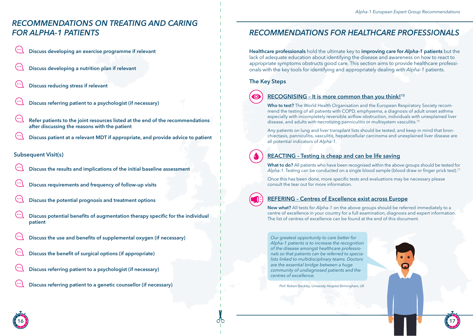# *RECOMMENDATIONS ON TREATING AND CARING FOR ALPHA-1 PATIENTS*

- **Discuss developing an exercise programme if relevant**
- **Discuss developing a nutrition plan if relevant**
- **Discuss reducing stress if relevant**
- **Discuss referring patient to a psychologist (if necessary)**
- **Refer patients to the joint resources listed at the end of the recommendations after discussing the reasons with the patient**
- **Discuss patient at a relevant MDT if appropriate, and provide advice to patient**

#### **Subsequent Visit(s)**

- **Discuss the results and implications of the initial baseline assessment**
- **Discuss requirements and frequency of follow-up visits**
- **Discuss the potential prognosis and treatment options**
- **Discuss potential benefits of augmentation therapy specific for the individual patient**
- **Discuss the use and benefits of supplemental oxygen (if necessary)**
- **Discuss the benefit of surgical options (if appropriate)**
- **Discuss referring patient to a psychologist (if necessary)**
- **Discuss referring patient to a genetic counsellor (if necessary)**

# *RECOMMENDATIONS FOR HEALTHCARE PROFESSIONALS*

**Healthcare professionals** hold the ultimate key to **improving care for** *Alpha-1* **patients** but the lack of adequate education about identifying the disease and awareness on how to react to appropriate symptoms obstructs good care. This section aims to provide healthcare professionals with the key tools for identifying and appropriately dealing with *Alpha-1* patients.

#### **The Key Steps**



### **RECOGNISING – It is more common than you think!15**

**Who to test?** The World Health Organisation and the European Respiratory Society recommend the testing of all patients with COPD, emphysema, a diagnosis of adult onset asthma especially with incompletely reversible airflow obstruction, individuals with unexplained liver disease, and adults with necrotizing panniculitis or multisystem vasculitis.<sup>16</sup>

Any patients on lung and liver transplant lists should be tested, and keep in mind that bronchiectasis, panniculitis, vasculitis, hepatocellular carcinoma and unexplained liver disease are all potential indicators of *Alpha-1*.

## **REACTING – Testing is cheap and can be life saving**

**What to do?** All patients who have been recognised within the above groups should be tested for *Alpha-1*. Testing can be conducted on a single blood sample (blood draw or finger prick test).<sup>17</sup>

Once this has been done, more specific tests and evaluations may be necessary please consult the tear out for more information.

#### **REFERING – Centres of Excellence exist across Europe**

**Now what?** All tests for *Alpha-1* on the above groups should be referred immediately to a centre of excellence in your country for a full examination, diagnosis and expert information. The list of centres of excellence can be found at the end of this document.

*Our greatest opportunity to care better for Alpha-1 patients is to increase the recognition of the disease amongst healthcare professionals so that patients can be referred to specialists linked to multidisciplinary teams. Doctors are the essential bridge between a huge community of undiagnosed patients and the centres of excellence.*

*Prof. Robert Stockley, University Hospital Birmingham, UK*

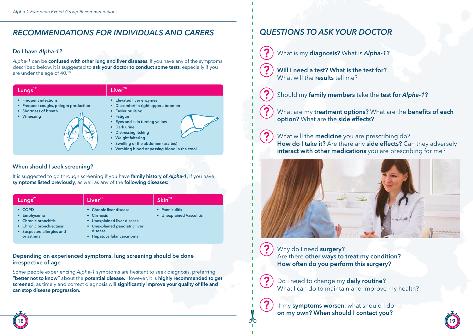# *RECOMMENDATIONS FOR INDIVIDUALS AND CARERS*

#### **Do I have** *Alpha-1***?**

*Alpha-1* can be **confused with other lung and liver diseases**. If you have any of the symptoms described below, it is suggested to **ask your doctor to conduct some tests**, especially if you are under the age of 40.18



### **When should I seek screening?**

It is suggested to go through screening if you have **family history of** *Alpha-1*, if you have **symptoms listed previously**, as well as any of the **following diseases:**



**• Hepatocellular carcinoma**

#### **Depending on experienced symptoms, lung screening should be done irrespective of age**

Some people experiencing *Alpha-1* symptoms are hesitant to seek diagnosis, preferring **"better not to know"** about the **potential disease.** However, it is **highly recommended to get screened**, as timely and correct diagnosis will **significantly improve your quality of life and can stop disease progression.**

# *QUESTIONS TO ASK YOUR DOCTOR*

- What is my **diagnosis?** What is *Alpha-1***?**
- **Will I need a test? What is the test for?** What will the **results** tell me?
	- Should my **family members** take the **test for** *Alpha-1***?**
	- What are my **treatment options?** What are the **benefits of each option?** What are the **side effects?**

What will the **medicine** you are prescribing do? **How do I take it?** Are there any **side effects?** Can they adversely **interact with other medications** you are prescribing for me?



 $\mathbf{P}$ 

Why do I need **surgery?** Are there **other ways to treat my condition? How often do you perform this surgery?**

Do I need to change my **daily routine?** What I can do to maintain and improve my health?

If my **symptoms worsen**, what should I do **on my own? When should I contact you?**

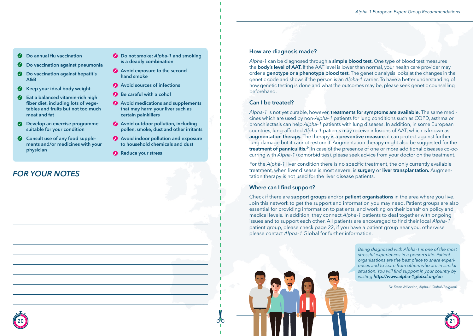- **Do annual flu vaccination**
- **Do vaccination against pneumonia**
- **2** Do vaccination against hepatitis **A&B**
- **Keep your ideal body weight**  $\bullet$
- $\bullet$ **Eat a balanced vitamin-rich high fiber diet, including lots of vegetables and fruits but not too much meat and fat**
- **Develop an exercise programme suitable for your condition**
- **Consult use of any food supplements and/or medicines with your physician**
- *FOR YOUR NOTES*
- **Do not smoke:** *Alpha-1* **and smoking is a deadly combination**
- **Avoid exposure to the second hand smoke**
- **Avoid sources of infections**
- **Be careful with alcohol**
- **Avoid medications and supplements that may harm your liver such as certain painkillers**
- **Avoid outdoor pollution, including pollen, smoke, dust and other irritants**
- **Avoid indoor pollution and exposure to household chemicals and dust**
- **Reduce your stress**

#### **How are diagnosis made?**

*Alpha-1* can be diagnosed through a **simple blood test.** One type of blood test measures the **body's level of AAT.** If the AAT level is lower than normal, your health care provider may order a **genotype or a phenotype blood test.** The genetic analysis looks at the changes in the genetic code and shows if the person is an *Alpha-1* carrier. To have a better understanding of how genetic testing is done and what the outcomes may be, please seek genetic counselling beforehand.

#### **Can I be treated?**

*Alpha-1* is not yet curable, however, **treatments for symptoms are available.** The same medicines which are used by non-*Alpha-1* patients for lung conditions such as COPD, asthma or bronchiectasis can help *Alpha-1* patients with lung diseases. In addition, in some European countries, lung-affected *Alpha-1* patients may receive infusions of AAT, which is known as **augmentation therapy.** The therapy is a **preventive measure**, it can protect against further lung damage but it cannot restore it. Augmentation therapy might also be suggested for the **treatment of panniculitis.**24 In case of the presence of one or more additional diseases co-occurring with *Alpha-1* (comorbidities), please seek advice from your doctor on the treatment.

For the *Alpha-1* liver condition there is no specific treatment, the only currently available treatment, when liver disease is most severe, is **surgery** or **liver transplantation.** Augmentation therapy is not used for the liver disease patients.

#### **Where can I find support?**

Check if there are **support groups** and/or **patient organisations** in the area where you live. Join this network to get the support and information you may need. Patient groups are also essential for providing information to patients, and working on their behalf on policy and medical levels. In addition, they connect *Alpha-1* patients to deal together with ongoing issues and to support each other. All patients are encouraged to find their local *Alpha-1* patient group, please check page 22, if you have a patient group near you, otherwise please contact *Alpha-1* Global for further information.

> *Being diagnosed with Alpha-1 is one of the most stressful experiences in a person's life. Patient organisations are the best place to share experiences and to learn from others who are in similar situation. You will find support in your country by visiting http://www.alpha-1global.org/en*

> > *Dr. Frank Willersinn, Alpha-1 Global (Belgium)*

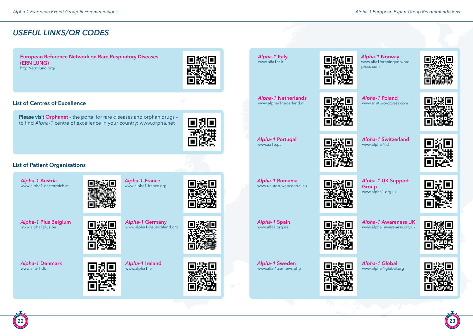# *USEFUL LINKS/QR CODES*

**European Reference Network on Rare Respiratory Diseases (ERN LUNG)**http://ern-lung.org/

**Please visit Orphanet** – the portal for rare diseases and orphan drugs – to find *Alpha-1* centre of excellence in your country: www.orpha.net



#### **List of Centres of Excellence**



## **List of Patient Organisations**







*Alpha-1* **Norway** www.alfa1foreningen.wordpress.com



*Alpha-1* **Netherlands** www.alpha-1nederland.nl



*Alpha-1* **Poland** www.a1at.wordpress.com



*Alpha-1* **Portugal** www.aa1p.pt



*Alpha-1* **Switzerland** www.alpha-1.ch



*Alpha-1* **Romania** www.unutest.webcentral.eu



*Alpha-1* **UK Support Group** www.alpha1.org.uk



*Alpha-1* **Spain**

*Alpha-1* **Sweden** www.alfa-1.se/news.php

www.alfa1.org.es

*Alpha-1* **Awareness UK** www.alpha1awareness.org.uk

*Alpha-1* **Global** www.alpha-1global.org





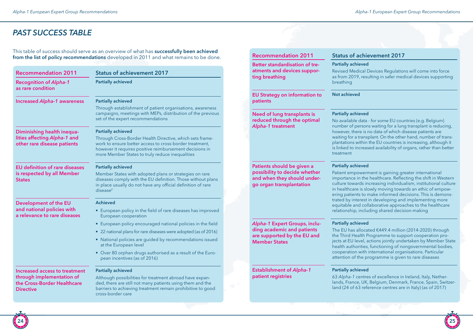# *PAST SUCCESS TABLE*

This table of success should serve as an overview of what has **successfully been achieved from the list of policy recommendations** developed in 2011 and what remains to be done.

| <b>Recommendation 2011</b>                                                           | <b>Status of achievement 2017</b>                                                                                                                                                                                                          |
|--------------------------------------------------------------------------------------|--------------------------------------------------------------------------------------------------------------------------------------------------------------------------------------------------------------------------------------------|
| <b>Recognition of Alpha-1</b><br>as rare condition                                   | <b>Partially achieved</b>                                                                                                                                                                                                                  |
| <b>Increased Alpha-1 awareness</b>                                                   | <b>Partially achieved</b>                                                                                                                                                                                                                  |
|                                                                                      | Through establishment of patient organisations, awareness<br>campaigns, meetings with MEPs, distribution of the previous<br>set of the expert recommendations                                                                              |
| Diminishing health inequa-                                                           | <b>Partially achieved</b>                                                                                                                                                                                                                  |
| lities affecting Alpha-1 and<br>other rare disease patients                          | Through Cross-Border Health Directive, which sets frame-<br>work to ensure better access to cross-border treatment,<br>however it requires positive reimbursement decisions in<br>more Member States to truly reduce inequalities          |
| <b>EU</b> definition of rare diseases<br>is respected by all Member<br><b>States</b> | <b>Partially achieved</b><br>Member States with adopted plans or strategies on rare<br>diseases comply with the EU definition. Those without plans<br>in place usually do not have any official definition of rare<br>disease <sup>2</sup> |
| Development of the EU                                                                | <b>Achieved</b>                                                                                                                                                                                                                            |
| and national policies with<br>a relevance to rare diseases                           | • European policy in the field of rare diseases has improved<br>European cooperation                                                                                                                                                       |
|                                                                                      | • European policy encouraged national policies in the field                                                                                                                                                                                |
|                                                                                      | • 22 national plans for rare diseases were adopted (as of 2016)                                                                                                                                                                            |
|                                                                                      | • National policies are guided by recommendations issued<br>at the European level                                                                                                                                                          |
|                                                                                      | • Over 80 orphan drugs authorised as a result of the Euro-<br>pean incentives (as of 2016)                                                                                                                                                 |
| Increased access to treatment                                                        | <b>Partially achieved</b>                                                                                                                                                                                                                  |
| through implementation of<br>the Cross-Border Healthcare<br><b>Directive</b>         | Although possibilities for treatment abroad have expan-<br>ded, there are still not many patients using them and the<br>barriers to achieving treatment remain prohibitive to good<br>cross-border care                                    |

| <b>Partially achieved</b><br>Revised Medical Devices Regulations will come into force<br>as from 2019, resulting in safer medical devices supporting<br>breathing<br><b>Not achieved</b><br><b>Partially achieved</b><br>No available data - for some EU countries (e.g. Belgium)<br>number of persons waiting for a lung transplant is reducing,<br>however, there is no data of which disease patients are<br>waiting for a transplant. On the other hand, number of trans-<br>plantations within the EU countries is increasing, although it<br>is linked to increased availability of organs, rather than better<br>treatment<br><b>Partially achieved</b><br>Patient empowerment is gaining greater international<br>importance in the healthcare. Reflecting the shift in Western<br>culture towards increasing individualism, institutional culture<br>in healthcare is slowly moving towards an ethic of empow-<br>ering patients to make informed decisions. This is demons-<br>trated by interest in developing and implementing more<br>equitable and collaborative approaches to the healthcare<br>relationship, including shared decision-making<br><b>Partially achieved</b><br>The EU has allocated €449.4 million (2014-2020) through<br>the Third Health Programme to support cooperation pro-<br>jects at EU level, actions jointly undertaken by Member State<br>health authorities, functioning of nongovernmental bodies,<br>cooperation with international organisations. Particular<br>attention of the programme is given to rare diseases<br><b>Partially achieved</b><br>63 Alpha-1 centres of excellence in Ireland, Italy, Nether-<br>lands, France, UK, Belgium, Denmark, France, Spain, Switzer-<br>land (24 of 63 reference centres are in Italy) (as of 2017) | <b>Recommendation 2011</b>                                                      | <b>Status of achievement 2017</b> |
|-----------------------------------------------------------------------------------------------------------------------------------------------------------------------------------------------------------------------------------------------------------------------------------------------------------------------------------------------------------------------------------------------------------------------------------------------------------------------------------------------------------------------------------------------------------------------------------------------------------------------------------------------------------------------------------------------------------------------------------------------------------------------------------------------------------------------------------------------------------------------------------------------------------------------------------------------------------------------------------------------------------------------------------------------------------------------------------------------------------------------------------------------------------------------------------------------------------------------------------------------------------------------------------------------------------------------------------------------------------------------------------------------------------------------------------------------------------------------------------------------------------------------------------------------------------------------------------------------------------------------------------------------------------------------------------------------------------------------------------------------------------------------------------------------|---------------------------------------------------------------------------------|-----------------------------------|
| <b>EU Strategy on information to</b><br>patients<br><b>Need of lung transplants is</b><br>reduced through the optimal<br>Alpha-1 treatment                                                                                                                                                                                                                                                                                                                                                                                                                                                                                                                                                                                                                                                                                                                                                                                                                                                                                                                                                                                                                                                                                                                                                                                                                                                                                                                                                                                                                                                                                                                                                                                                                                                    | Better standardisation of tre-<br>atments and devices suppor-<br>ting breathing |                                   |
|                                                                                                                                                                                                                                                                                                                                                                                                                                                                                                                                                                                                                                                                                                                                                                                                                                                                                                                                                                                                                                                                                                                                                                                                                                                                                                                                                                                                                                                                                                                                                                                                                                                                                                                                                                                               |                                                                                 |                                   |
| Patients should be given a<br>possibility to decide whether<br>and when they should under-<br>go organ transplantation<br>Alpha-1 Expert Groups, inclu-<br>ding academic and patients<br>are supported by the EU and<br><b>Member States</b><br><b>Establishment of Alpha-1</b><br>patient registries                                                                                                                                                                                                                                                                                                                                                                                                                                                                                                                                                                                                                                                                                                                                                                                                                                                                                                                                                                                                                                                                                                                                                                                                                                                                                                                                                                                                                                                                                         |                                                                                 |                                   |
|                                                                                                                                                                                                                                                                                                                                                                                                                                                                                                                                                                                                                                                                                                                                                                                                                                                                                                                                                                                                                                                                                                                                                                                                                                                                                                                                                                                                                                                                                                                                                                                                                                                                                                                                                                                               |                                                                                 |                                   |
|                                                                                                                                                                                                                                                                                                                                                                                                                                                                                                                                                                                                                                                                                                                                                                                                                                                                                                                                                                                                                                                                                                                                                                                                                                                                                                                                                                                                                                                                                                                                                                                                                                                                                                                                                                                               |                                                                                 |                                   |
|                                                                                                                                                                                                                                                                                                                                                                                                                                                                                                                                                                                                                                                                                                                                                                                                                                                                                                                                                                                                                                                                                                                                                                                                                                                                                                                                                                                                                                                                                                                                                                                                                                                                                                                                                                                               |                                                                                 |                                   |

**p** 

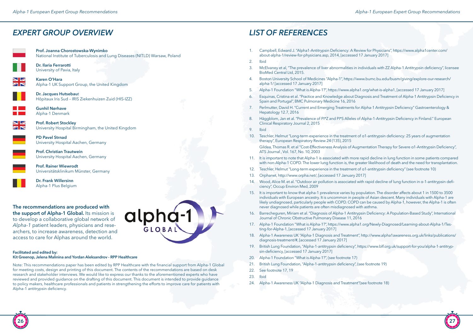# *EXPERT GROUP OVERVIEW*

**Prof. Joanna Chorostowska-Wynimko** National Institute of Tuberculosis and Lung Diseases (NITLD) Warsaw, Poland



**Dr. Ilaria Ferrarotti** University of Pavia, Italy

**Karen O'Hara** Alpha-1 UK Support Group, the United Kingdom

> **Dr. Jacques Hutsebau**t Hôpitaux Iris Sud – IRIS Ziekenhuizen Zuid (HIS-IZZ)

**Gunhil Nørhave** Alpha-1 Denmark

 $\overline{\mathbf{N}}$   $\mathbf{Z}$ ZR

**Prof. Robert Stockley** University Hospital Birmingham, the United Kingdom

**PD Pavel Strnad** University Hospital Aachen, Germany

**Prof. Christian Trautwein** University Hospital Aachen, Germany

**Prof. Rainer Wiewrodt** Universitätsklinikum Münster, Germany



**Dr. Frank Willersinn**  Alpha-1 Plus Belgium

#### **The recommendations are produced with the support of Alpha-1 Global.** Its mission is to develop a collaborative global network of *Alpha-1* patient leaders, physicians and researchers, to increase awareness, detection and access to care for Alphas around the world.



Note: This recommendations paper has been edited by RPP Healthcare with the financial support from Alpha-1 Global for meeting costs, design and printing of this document. The contents of the recommendations are based on desk research and stakeholder interviews. We would like to express our thanks to the aforementioned experts who have reviewed and provided guidance on the drafting of this document. This document is intended to provide guidance to policy makers, healthcare professionals and patients in strengthening the efforts to improve care for patients with Alpha-1 antitrypsin deficiency.

**alpha-1** 

# *LIST OF REFERENCES*

- 1. Campbell, Edward J. "Alpha1-Antitrypsin Deficiency: A Review for Physicians", https://www.alpha1center.com/ about-alpha-1/review-for-physicians.asp, 2014, [accessed 17 January 2017]
- 2. Ibid
- 3. McElvaney et al, "The prevalence of liver abnormalities in individuals with ZZ Alpha-1 Antitrypsin deficiency", licensee BioMed Central Ltd, 2015.
- 4. Boston University School of Medicines "Alpha-1", https://www.bumc.bu.edu/busm/giving/explore-our-research/ alpha-1/ [accessed 17 January 2017]
- 5. Alpha-1 Foundation "What is Alpha-1?", https://www.alpha1.org/what-is-alpha1, [accessed 17 January 2017]
- 6. Esquinas, Cristina et al. "Practice and Knowledge about Diagnosis and Treatment of Alpha-1 Antitrypsin Deficiency in Spain and Portugal", BMC Pulmonary Medicine 16, 2016
- 7. Perlmutter, David H. "Current and Emerging Treatments for Alpha-1 Antitrypsin Deficiency" Gastroenterology & Hepatology 12.7, 2016
- 8. Häggblom, Jan et al. "Prevalence of PI\*Z and PI\*S Alleles of Alpha-1-Antitrypsin Deficiency in Finland." European Clinical Respiratory Journal 2, 2015
- 9. Ibid
- 10. Teschler, Helmut "Long-term experience in the treatment of α1-antitrypsin deficiency: 25 years of augmentation therapy", European Respiratory Review 24 (135), 2015
	- Gildea, Thomas R. et al "Cost-Effectiveness Analysis of Augmentation Therapy for Severe α1-Antitrypsin Deficiency", ATS Journal , Vol. 167, No. 10, 2003
- 11. It is important to note that Alpha-1 is associated with more rapid decline in lung function in some patients compared with non-Alpha-1 COPD. The lower lung function is, the greater likelihood of death and the need for transplantation.
- 12. Teschler, Helmut "Long-term experience in the treatment of α1-antitrypsin deficiency" (see footnote 10)
- 13. Orphanet, http://www.orpha.net/, [accessed 17 January 2017]
- 14. Wood, Alice M. et al. "Outdoor air pollution is associated with rapid decline of lung function in α-1-antitrypsin deficiency", Occup Environ Med, 2009
- 15. It is important to know that alpha-1 prevalence varies by population. The disorder affects about 1 in 1500 to 3500 individuals with European ancestry. It is uncommon in people of Asian descent. Many individuals with Alpha-1 are likely undiagnosed, particularly people with COPD. COPD can be caused by Alpha-1, however, the Alpha-1 is often never diagnosed while patients are often misdiagnosed with asthma.
- 16. Barrecheguren, Miriam et al. "Diagnosis of Alpha-1 Antitrypsin Deficiency: A Population-Based Study", International Journal of Chronic Obstructive Pulmonary Disease 11, 2016
- 17. Alpha-1 Foundation "What is Alpha-1?", https://www.alpha1.org/Newly-Diagnosed/Learning-about-Alpha-1/Testing-for-Alpha-1, [accessed 17 January 2017]
- 18. Alpha-1 Awareness UK "Alpha-1 Diagnosis and Treatment", http://www.alpha1awareness.org.uk/links/publications/ diagnosis-treatment/#, [accessed 17 January 2017]
- 19. British Lung Foundation, "Alpha-1-antitrypsin deficiency", https://www.blf.org.uk/support-for-you/alpha-1-antitrypsin-deficiency, [accessed 17 January 2017]
- 20. Alpha-1 Foundation "What is Alpha-1?", (see footnote 17)
- 21. British Lung Foundation, "Alpha-1-antitrypsin deficiency", (see footnote 19)
- 22. See footnote 17, 19
- 23. Ibid
- 24. Alpha-1 Awareness UK "Alpha-1 Diagnosis and Treatment"(see footnote 18)